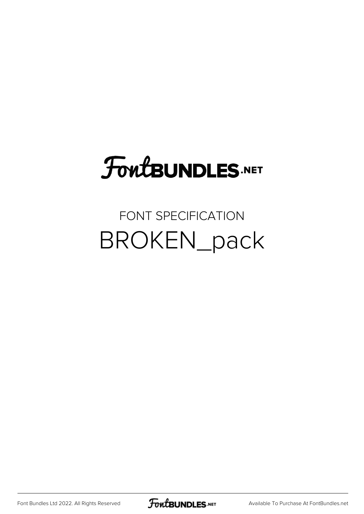# FoutBUNDLES.NET

#### FONT SPECIFICATION BROKEN\_pack

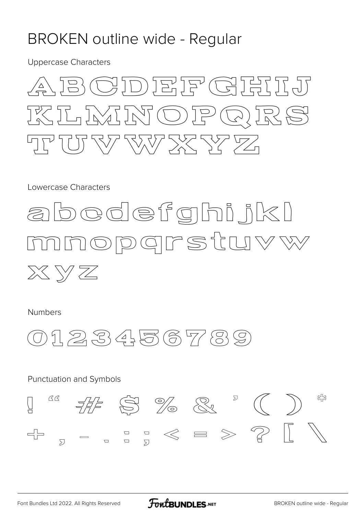#### **BROKEN outline wide - Regular**

**Uppercase Characters** 



Lowercase Characters



Numbers



#### Punctuation and Symbols  $\begin{array}{ccc} \mathbb{Z} & \mathbb{Z} & \mathbb{Z} & \mathbb{Z} \\ \mathbb{Z} & \mathbb{Z} & \mathbb{Z} & \mathbb{Z} \end{array} \quad \begin{array}{ccc} \mathbb{Z} & \mathbb{Z} & \mathbb{Z} & \mathbb{Z} \\ \mathbb{Z} & \mathbb{Z} & \mathbb{Z} & \mathbb{Z} \end{array}$ BB  $\sqrt{\phantom{a}}$  $\begin{array}{c} \Box \quad \Box \quad \mathbb{C} \quad \mathbb{C} \quad \mathbb{C} \quad \mathbb{C} \quad \mathbb{C} \end{array}$  $\begin{picture}(120,10) \put(0,0){\dashbox{0.5}(10,0){ }} \put(15,0){\dashbox{0.5}(10,0){ }} \put(15,0){\dashbox{0.5}(10,0){ }} \put(15,0){\dashbox{0.5}(10,0){ }} \put(15,0){\dashbox{0.5}(10,0){ }} \put(15,0){\dashbox{0.5}(10,0){ }} \put(15,0){\dashbox{0.5}(10,0){ }} \put(15,0){\dashbox{0.5}(10,0){ }} \put(15,0){\dashbox{0.5}(10,0){ }} \put(15,0){\dashbox$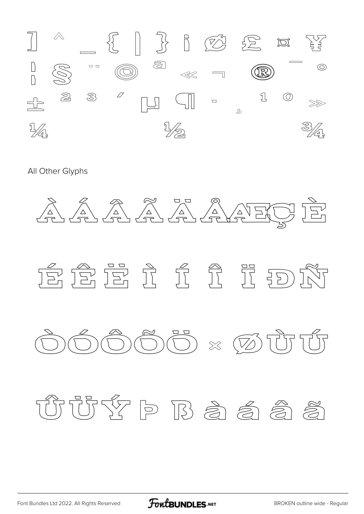

All Other Glyphs





# TUTYP B 高急急

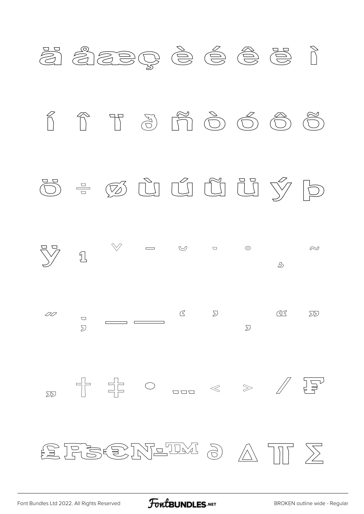

FontBUNDLES.NET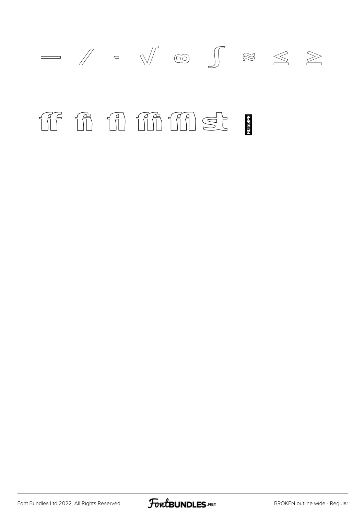

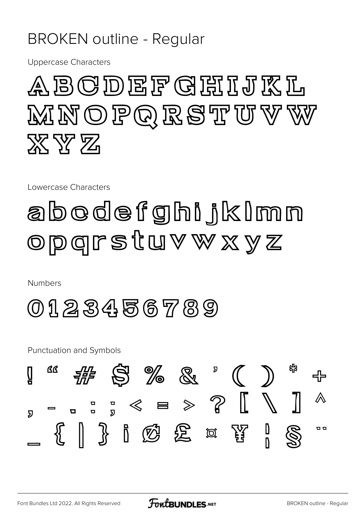#### **BROKEN outline - Regular**

**Uppercase Characters** 



Lowercase Characters

### abodefghijklmn Opgrstuvwxyz

**Numbers** 

0123456789

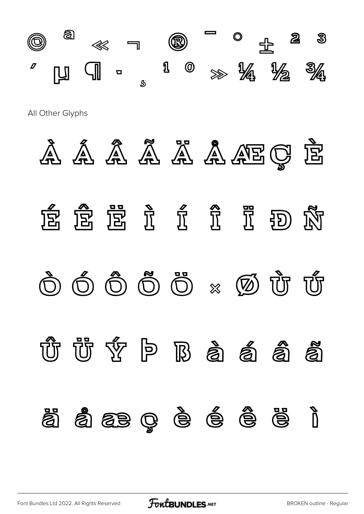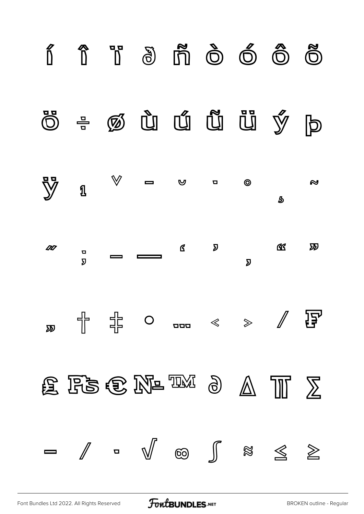

[Font Bundles Ltd 2022. All Rights Reserved](https://fontbundles.net/) **FoutBUNDLES.NET** [BROKEN outline - Regular](https://fontbundles.net/)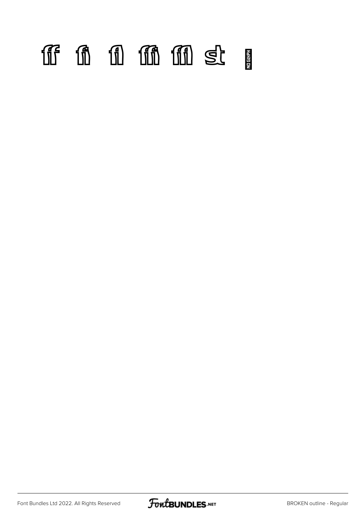# ff fi fl ffi ffl st

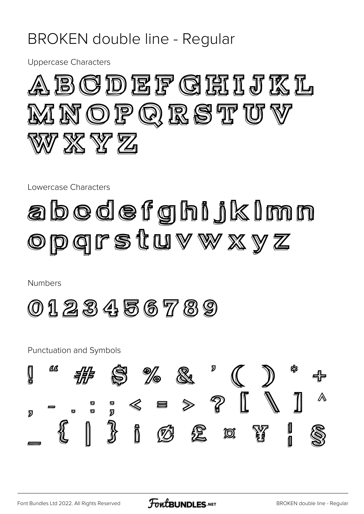#### **BROKEN** double line - Regular

**Uppercase Characters** 



Lowercase Characters

## abodefghijkimn opgrstuvwxyz

**Numbers** 

0123456789

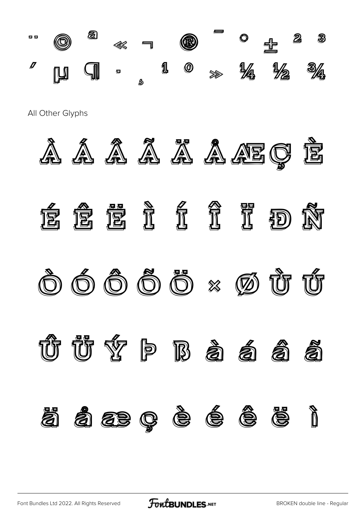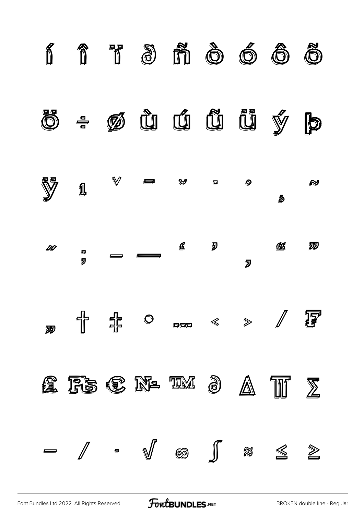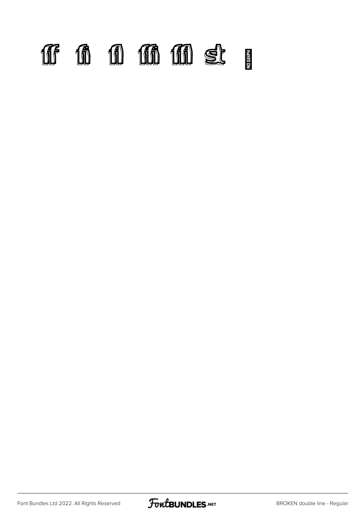# ff fi fi ffififi

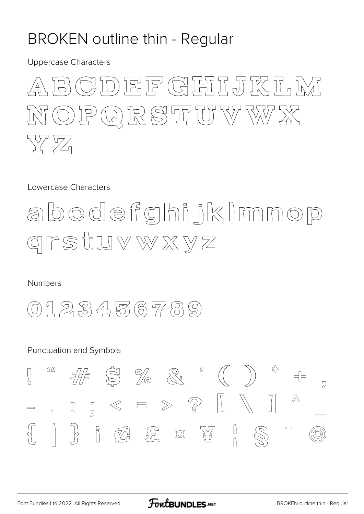#### **BROKEN outline thin - Regular**

**Uppercase Characters** 



Lowercase Characters



**Numbers** 



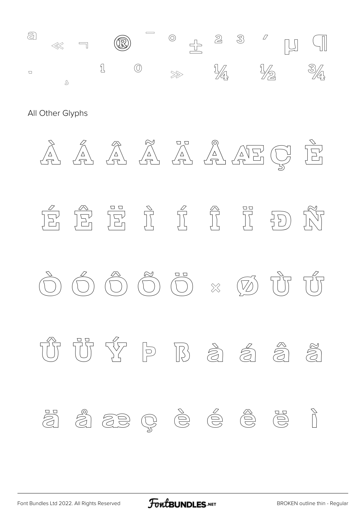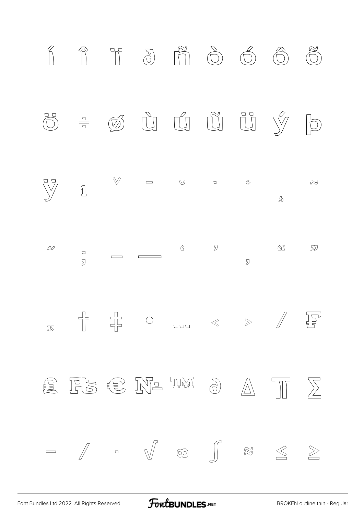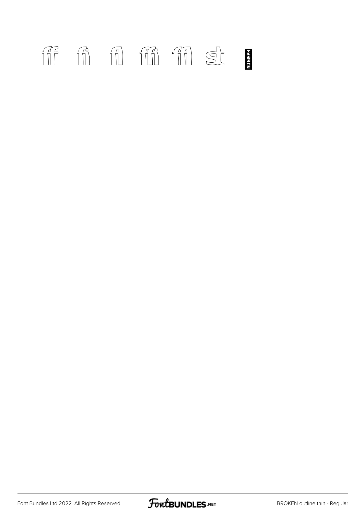### ff fi fil fin fin st

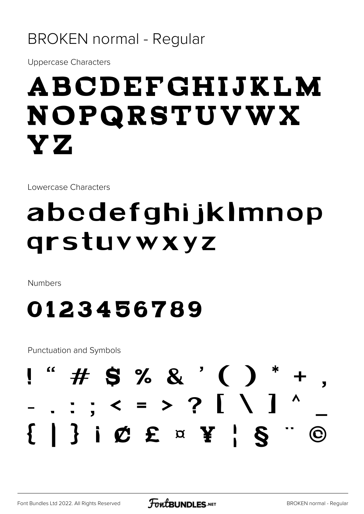#### **BROKEN normal - Regular**

**Uppercase Characters** 

# ABCDEFGHIJKLM NOPQRSTUVWX YZ.

Lowercase Characters

# abcdefghijklmnop qrstuvwxyz

**Numbers** 

#### 0123456789

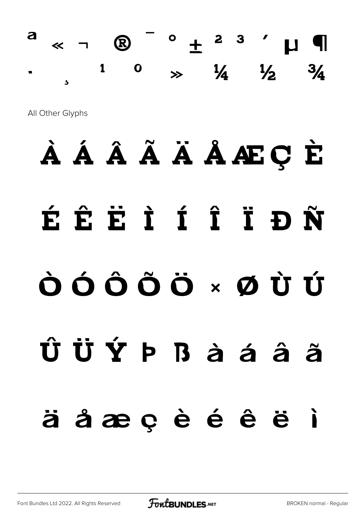$\begin{array}{ccccccccccccccccc} \times & \neg & \mathbb{Q} & \end{array} \begin{array}{ccccccccccccccccc} \circ & \mathbb{L} & \circ & \mathbb{R} & \circ & \mathbb{R} & \mathbb{R} & \end{array} \begin{array}{ccccccccccccccccccccc} \mathbb{R} & \mathbb{R} & \mathbb{R} & \mathbb{R} & \mathbb{R} & \mathbb{R} & \mathbb{R} & \mathbb{R} & \mathbb{R} & \mathbb{R} & \mathbb{R} & \mathbb{R} & \mathbb{R} & \mathbb{R} & \mathbb{R} & \mathbb{R} & \mathbb{R} & \mathbb{R} &$ a  $\gg$   $\frac{1}{4}$   $\frac{1}{2}$  $\overline{\mathbf{o}}$  $\mathbf{1}$  $\frac{3}{4}$  $\overline{\mathbf{A}}$ 

All Other Glyphs

# À Á Â Ã Ä Ä Å Æ Ç È ÉÊËIÍÎĪĐÑ ÒÓÔÔÖרÙÚ ÛÜÝÞBàáâã äåæçèéêë ì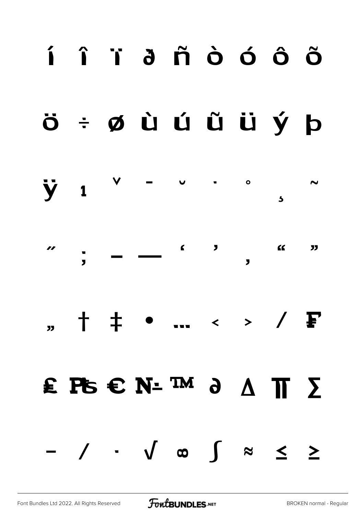# í î ï ð ñ ò ó ô õ

#### ö ÷ ø ù ú û ü ý þ



# " † ‡ • … ‹ › ⁄ ₣

# ₤ ₧ € № ™ ∂ ∆ ∏ ∑

− ∕ ∙ √ ∞ ∫ ≈ ≤ ≥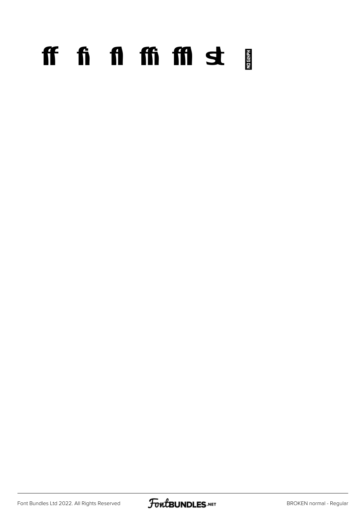# ff fi fi ffi ffi st p

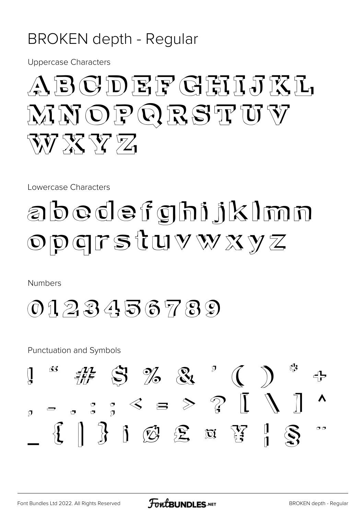#### **BROKEN** depth - Regular

**Uppercase Characters** 

### ABGDEFGEILA MNOPORSTUY WY XX YZ Z

Lowercase Characters

# abodefghijklmn OPGFSTUVWXYZ

**Numbers** 

 $0123456789$ 

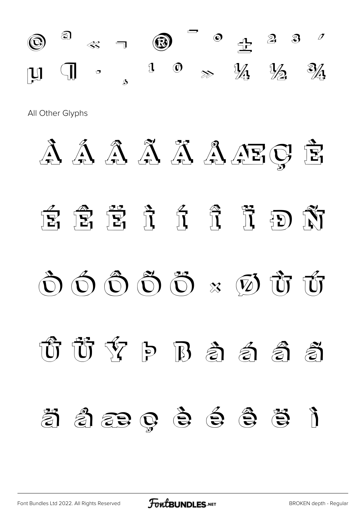

All Other Glyphs

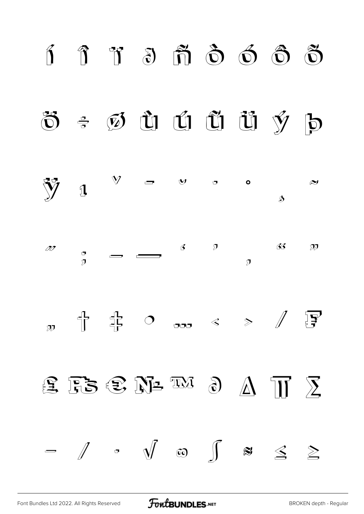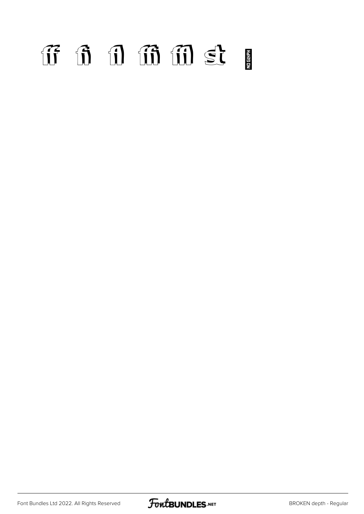# ff fi fl ffi ffl st

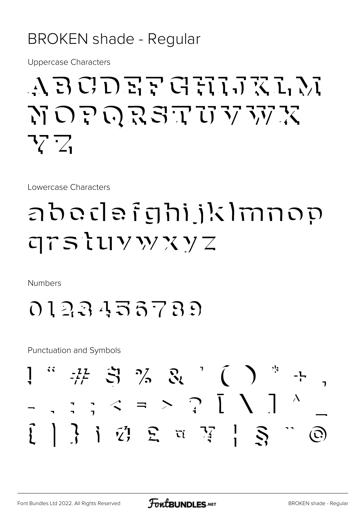#### **BROKEN shade - Regular**

**Uppercase Characters** 

### ABCDEF GHIJKLN NOPORSTUVWX 77 Z

Lowercase Characters

### อbodอธิตกับโรโกกออ  $75$  tuy w x y z

**Numbers** 

0123433739

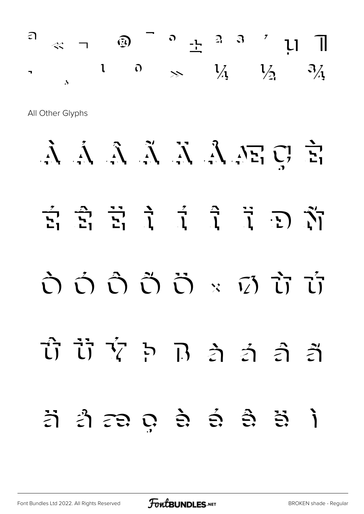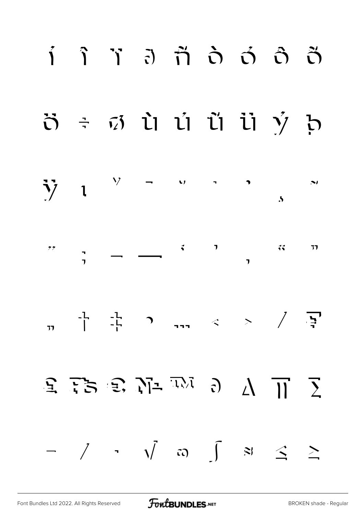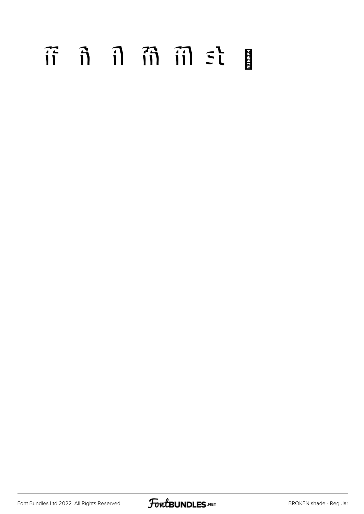# $\tilde{\mathfrak{n}}$   $\tilde{\mathfrak{n}}$   $\tilde{\mathfrak{n}}$   $\tilde{\mathfrak{m}}$   $\tilde{\mathfrak{m}}$   $\tilde{\mathfrak{m}}$   $\tilde{\mathfrak{m}}$

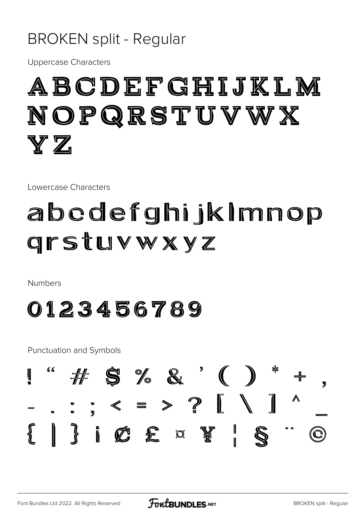#### **BROKEN split - Regular**

**Uppercase Characters** 

### ABCDEFGHIJKLM NOPQRSTUVWX  $\mathbf{Y}\, \mathbf{Z}$

Lowercase Characters

### abcdefghijkImnop **Grstuvwxyz**

**Numbers** 

0123456789

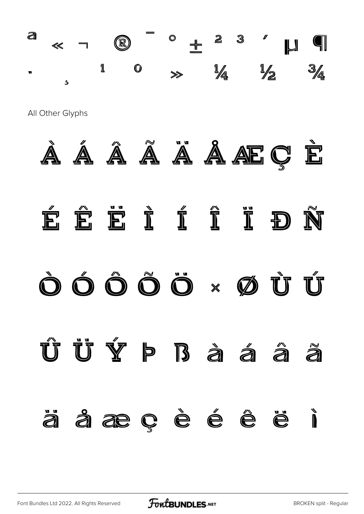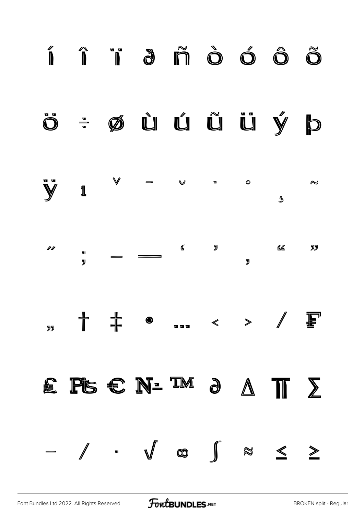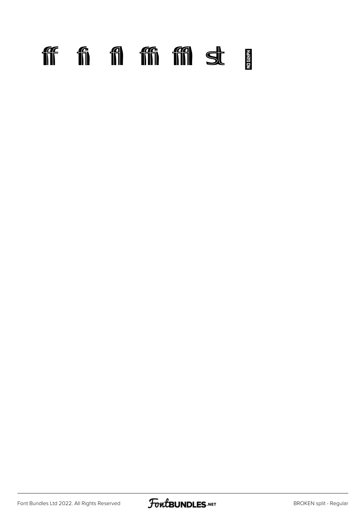### ff fi fi ffi ffi st p

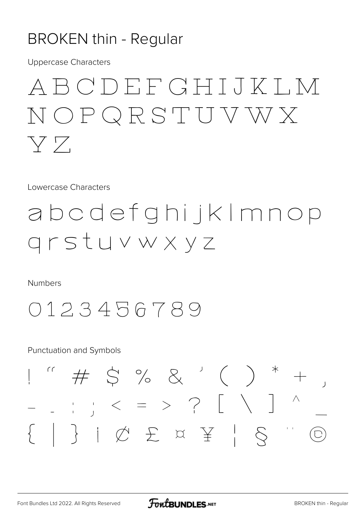#### **BROKEN thin - Regular**

**Uppercase Characters** 

### ABCDEFGHIJKI, M NOPQRSTUVWX YZ.

Lowercase Characters

#### abcdefghijkImnop grstuvwxyz

**Numbers** 



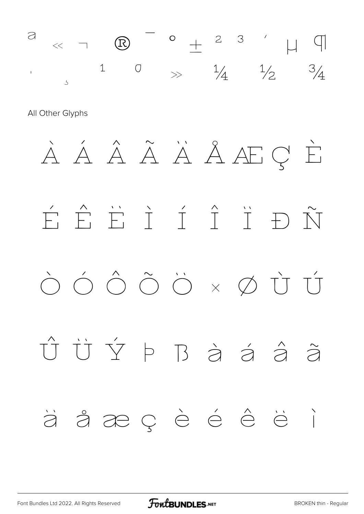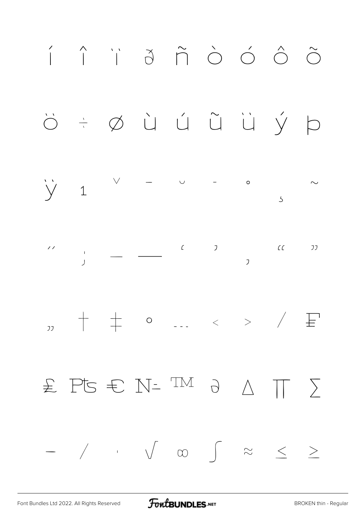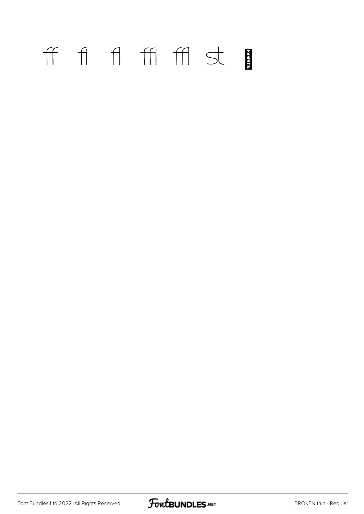### ff fi fl ffi ffl st

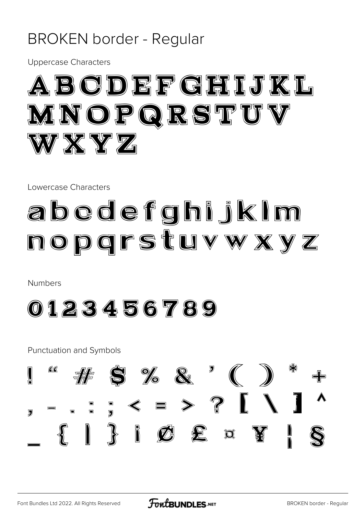#### **BROKEN border - Regular**

**Uppercase Characters** 



Lowercase Characters

# abedefghijkim nopgrstuvwxyz

**Numbers** 



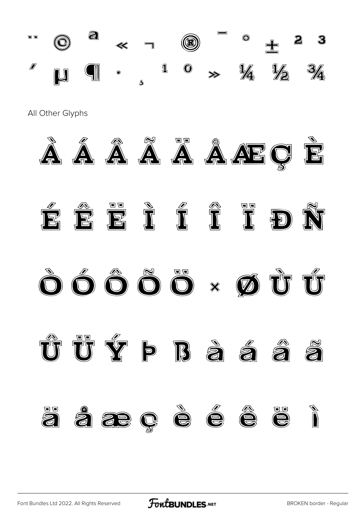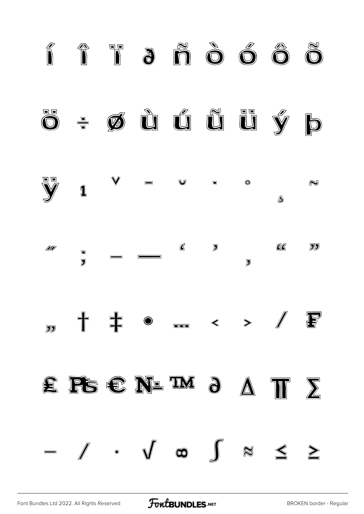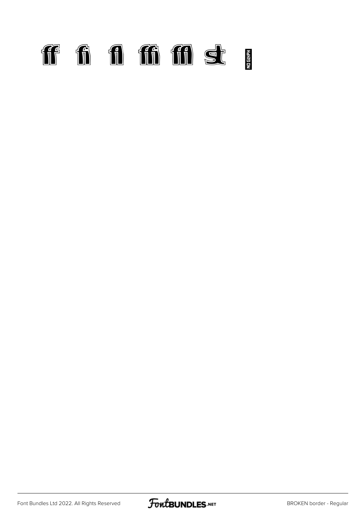

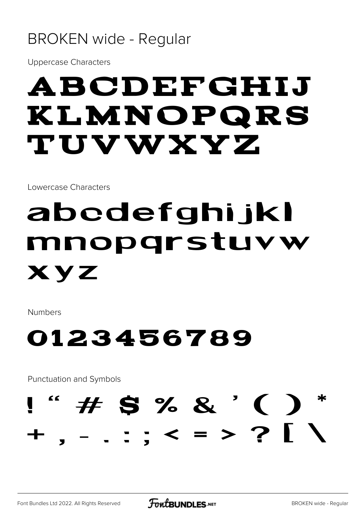#### **BROKEN wide - Regular**

**Uppercase Characters** 

# ABCDEFGHIJ KLMNOPQRS **TUVWXYZ**

Lowercase Characters

# abedefghi jkl mnoparstuvw XYZ

**Numbers** 

#### 0123456789

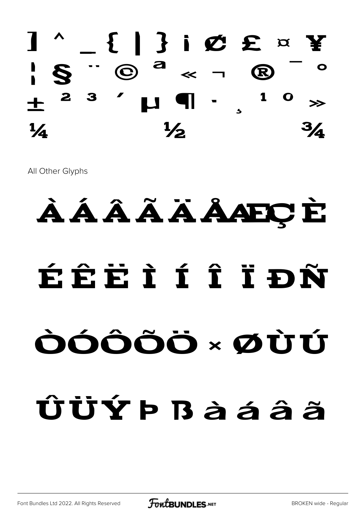

All Other Glyphs

# ÀÁÂÃÃAAEÇE ÉÊËÌÍÎÎÐÑ ÒÓÔÕÖ × ØÙÚ ÛÜÝÞBàáâã

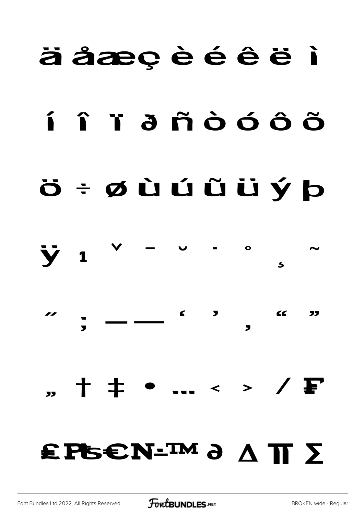#### äåæçèéêë i

# í î ï ä ñ ò ó ô õ

### Ö ÷ ØÙÚŰÜÝ Þ